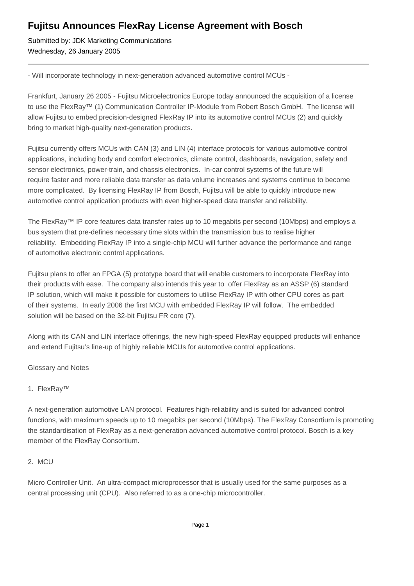# **Fujitsu Announces FlexRay License Agreement with Bosch**

Submitted by: JDK Marketing Communications Wednesday, 26 January 2005

- Will incorporate technology in next-generation advanced automotive control MCUs -

Frankfurt, January 26 2005 - Fujitsu Microelectronics Europe today announced the acquisition of a license to use the FlexRay™ (1) Communication Controller IP-Module from Robert Bosch GmbH. The license will allow Fujitsu to embed precision-designed FlexRay IP into its automotive control MCUs (2) and quickly bring to market high-quality next-generation products.

Fujitsu currently offers MCUs with CAN (3) and LIN (4) interface protocols for various automotive control applications, including body and comfort electronics, climate control, dashboards, navigation, safety and sensor electronics, power-train, and chassis electronics. In-car control systems of the future will require faster and more reliable data transfer as data volume increases and systems continue to become more complicated. By licensing FlexRay IP from Bosch, Fujitsu will be able to quickly introduce new automotive control application products with even higher-speed data transfer and reliability.

The FlexRay™ IP core features data transfer rates up to 10 megabits per second (10Mbps) and employs a bus system that pre-defines necessary time slots within the transmission bus to realise higher reliability. Embedding FlexRay IP into a single-chip MCU will further advance the performance and range of automotive electronic control applications.

Fujitsu plans to offer an FPGA (5) prototype board that will enable customers to incorporate FlexRay into their products with ease. The company also intends this year to offer FlexRay as an ASSP (6) standard IP solution, which will make it possible for customers to utilise FlexRay IP with other CPU cores as part of their systems. In early 2006 the first MCU with embedded FlexRay IP will follow. The embedded solution will be based on the 32-bit Fujitsu FR core (7).

Along with its CAN and LIN interface offerings, the new high-speed FlexRay equipped products will enhance and extend Fujitsu's line-up of highly reliable MCUs for automotive control applications.

Glossary and Notes

## 1. FlexRay™

A next-generation automotive LAN protocol. Features high-reliability and is suited for advanced control functions, with maximum speeds up to 10 megabits per second (10Mbps). The FlexRay Consortium is promoting the standardisation of FlexRay as a next-generation advanced automotive control protocol. Bosch is a key member of the FlexRay Consortium.

## 2. MCU

Micro Controller Unit. An ultra-compact microprocessor that is usually used for the same purposes as a central processing unit (CPU). Also referred to as a one-chip microcontroller.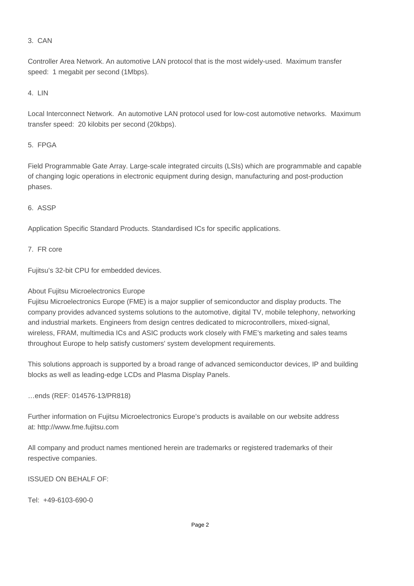#### 3. CAN

Controller Area Network. An automotive LAN protocol that is the most widely-used. Maximum transfer speed: 1 megabit per second (1Mbps).

#### 4. LIN

Local Interconnect Network. An automotive LAN protocol used for low-cost automotive networks. Maximum transfer speed: 20 kilobits per second (20kbps).

#### 5. FPGA

Field Programmable Gate Array. Large-scale integrated circuits (LSIs) which are programmable and capable of changing logic operations in electronic equipment during design, manufacturing and post-production phases.

### 6. ASSP

Application Specific Standard Products. Standardised ICs for specific applications.

#### 7. FR core

Fujitsu's 32-bit CPU for embedded devices.

## About Fujitsu Microelectronics Europe

Fujitsu Microelectronics Europe (FME) is a major supplier of semiconductor and display products. The company provides advanced systems solutions to the automotive, digital TV, mobile telephony, networking and industrial markets. Engineers from design centres dedicated to microcontrollers, mixed-signal, wireless, FRAM, multimedia ICs and ASIC products work closely with FME's marketing and sales teams throughout Europe to help satisfy customers' system development requirements.

This solutions approach is supported by a broad range of advanced semiconductor devices, IP and building blocks as well as leading-edge LCDs and Plasma Display Panels.

…ends (REF: 014576-13/PR818)

Further information on Fujitsu Microelectronics Europe's products is available on our website address at: http://www.fme.fujitsu.com

All company and product names mentioned herein are trademarks or registered trademarks of their respective companies.

ISSUED ON BEHALF OF: 

Tel: +49-6103-690-0